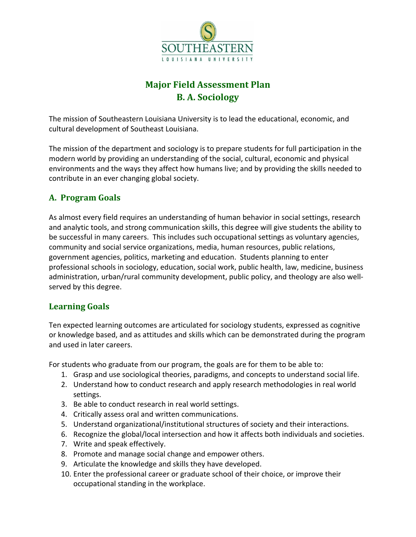

# **Major Field Assessment Plan B. A. Sociology**

The mission of Southeastern Louisiana University is to lead the educational, economic, and cultural development of Southeast Louisiana.

The mission of the department and sociology is to prepare students for full participation in the modern world by providing an understanding of the social, cultural, economic and physical environments and the ways they affect how humans live; and by providing the skills needed to contribute in an ever changing global society.

# **A. Program Goals**

As almost every field requires an understanding of human behavior in social settings, research and analytic tools, and strong communication skills, this degree will give students the ability to be successful in many careers. This includes such occupational settings as voluntary agencies, community and social service organizations, media, human resources, public relations, government agencies, politics, marketing and education. Students planning to enter professional schools in sociology, education, social work, public health, law, medicine, business administration, urban/rural community development, public policy, and theology are also well‐ served by this degree.

### **Learning Goals**

Ten expected learning outcomes are articulated for sociology students, expressed as cognitive or knowledge based, and as attitudes and skills which can be demonstrated during the program and used in later careers.

For students who graduate from our program, the goals are for them to be able to:

- 1. Grasp and use sociological theories, paradigms, and concepts to understand social life.
- 2. Understand how to conduct research and apply research methodologies in real world settings.
- 3. Be able to conduct research in real world settings.
- 4. Critically assess oral and written communications.
- 5. Understand organizational/institutional structures of society and their interactions.
- 6. Recognize the global/local intersection and how it affects both individuals and societies.
- 7. Write and speak effectively.
- 8. Promote and manage social change and empower others.
- 9. Articulate the knowledge and skills they have developed.
- 10. Enter the professional career or graduate school of their choice, or improve their occupational standing in the workplace.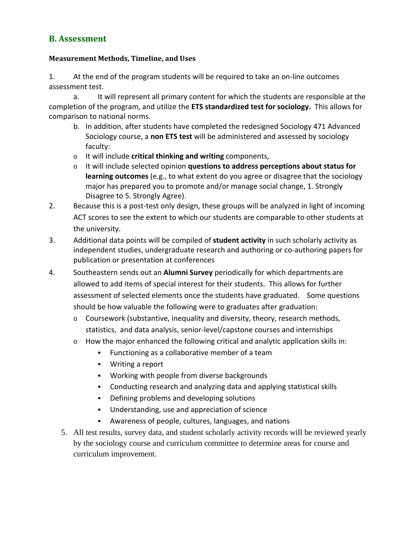### **B. Assessment**

#### **Measurement Methods, Timeline, and Uses**

1. At the end of the program students will be required to take an on‐line outcomes assessment test.

a. It will represent all primary content for which the students are responsible at the completion of the program, and utilize the **ETS standardized test for sociology.** This allows for comparison to national norms.

- b. In addition, after students have completed the redesigned Sociology 471 Advanced Sociology course, a **non ETS test** will be administered and assessed by sociology faculty:
- o It will include **critical thinking and writing** components,
- o It will include selected opinion **questions to address perceptions about status for learning outcomes** (e.g., to what extent do you agree or disagree that the sociology major has prepared you to promote and/or manage social change, 1. Strongly Disagree to 5. Strongly Agree).
- 2. Because this is a post-test only design, these groups will be analyzed in light of incoming ACT scores to see the extent to which our students are comparable to other students at the university.
- 3. Additional data points will be compiled of **student activity** in such scholarly activity as independent studies, undergraduate research and authoring or co-authoring papers for publication or presentation at conferences
- 4. Southeastern sends out an **Alumni Survey** periodically for which departments are allowed to add items of special interest for their students. This allows for further assessment of selected elements once the students have graduated. Some questions should be how valuable the following were to graduates after graduation:
	- $\circ$  Coursework (substantive, inequality and diversity, theory, research methods, statistics, and data analysis, senior‐level/capstone courses and internships
	- o How the major enhanced the following critical and analytic application skills in:
		- **Functioning as a collaborative member of a team**
		- Writing a report
		- **Working with people from diverse backgrounds**
		- Conducting research and analyzing data and applying statistical skills
		- **•** Defining problems and developing solutions
		- Understanding, use and appreciation of science
		- Awareness of people, cultures, languages, and nations
	- 5. All test results, survey data, and student scholarly activity records will be reviewed yearly by the sociology course and curriculum committee to determine areas for course and curriculum improvement.